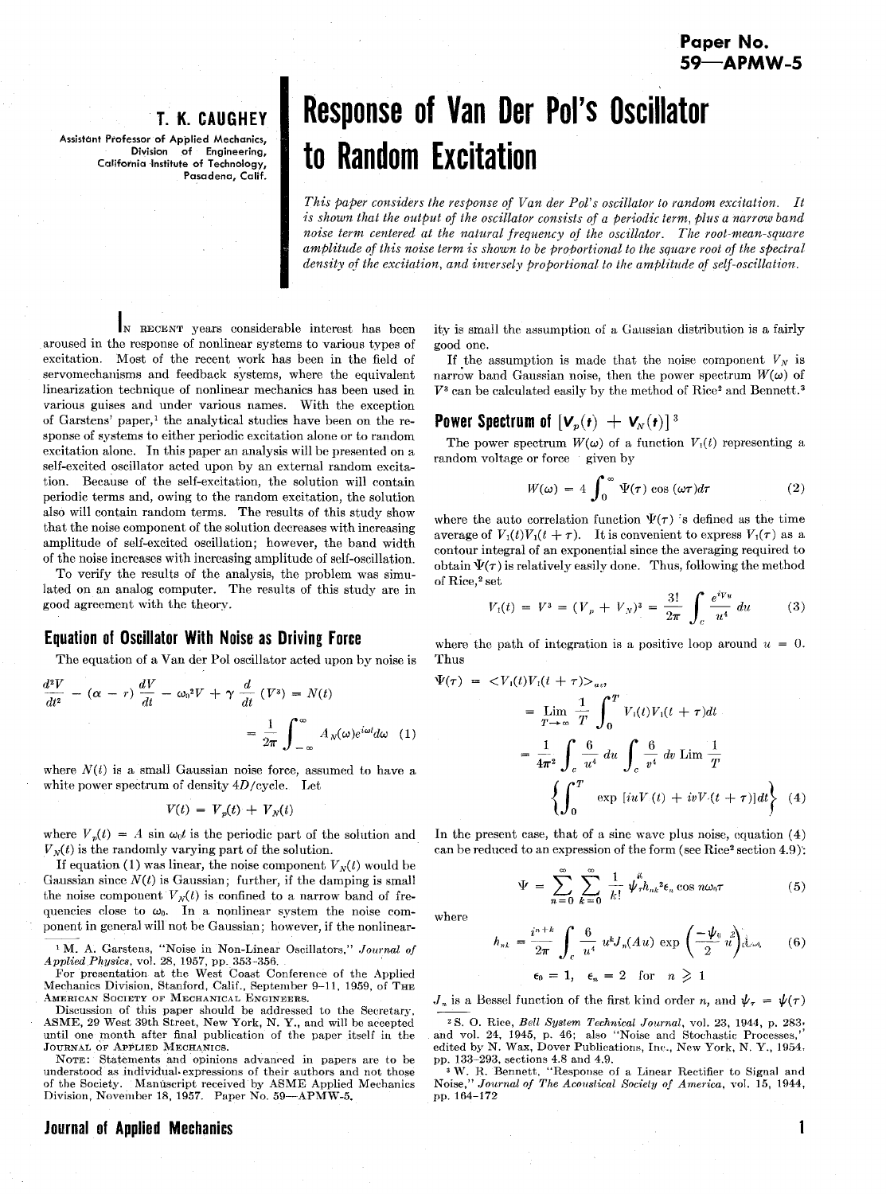# **T. K. GAUGHEY**

**Assistant Professor of Applied Mechanics, Division of Engineering, California Institute of Technology, Pasadena, Calif.** 

# **Response of Van Der Pol's Oscillator to Random Excitation**

*This paper considers the response of Van der Pol's oscillator to random excitation It is shown that the output of the oscillator consists of a periodic term, plus a narrow band noise term centered at the natural frequency of the oscillator. The root-mean-square amfilitude of this noise term is shown to be probortional to the square root of the spectral*  density of the excitation, and inversely proportional to the amplitude of self-oscillation.

IN RECENT years considerable interest has been aroused in the response of nonlinear systems to various types of excitation. Most of the recent work has been in the field of servomechanisms and feedback systems, where the equivalent linearization technique of nonlinear mechanics has been used in various guises and under various names. With the exception of Garstens' paper,I the analytical studies have been on the response of systems to either periodic excitation alone or to random excitation alone. In this paper an analysis will be presented on a self-excited oscillator acted upon by an external random excitation. Because of the self-excitation, the solution will contain periodic terms and, owing to the random excitation, the solution also will contain random terms. The results of this study show that the noise component of the solution decreases with increasing amplitude of self-excited oscillation; however, the band width of the noise increases with increasing amplitude of self-oscillation

To verify the results of the analysis, the problem was simulated on an analog computer. The results of this study are in good agreement with the theory.

# **Equation of Oscillator With Noise as Driving Force**

The equation of a Van der Pol oscillator acted upon by noise is

$$
\frac{d^2V}{dt^2} - (\alpha - r) \frac{dV}{dt} - \omega_0^2 V + \gamma \frac{d}{dt} (V^3) = N(t)
$$

$$
= \frac{1}{2\pi} \int_{-\infty}^{\infty} A_N(\omega) e^{i\omega t} d\omega (1)
$$

where  $N(t)$  is a small Gaussian noise force, assumed to have a white power spectrum of density 4D/cycle. Let

$$
V(t) = V_p(t) + V_N(t)
$$

where  $V_p(t) = A \sin \omega_0 t$  is the periodic part of the solution and

 $W_N(t)$  is the randomly varying part of the solution.<br>
If equation (1) was linear, the noise component V<br>
If equation (1) was linear, the noise component V<br>
Gaussian since  $N(t)$  is Gaussian; further, if the dai<br>
the noise If equation (1) was linear, the noise component  $V_N(t)$  would be Gaussian since  $N(t)$  is Gaussian; further, if the damping is small the noise component  $V_N(t)$  is confined to a narrow band of frequencies close to  $\omega_0$ . In a nonlinear system the noise component in general will not be Gaussian; however, if the nonlinear-

<sup>1</sup> M. A. Garstens, "Noise in Non-Linear Oscillators," Journal of *Applied Physics,* vol. 28, 1957, pp. 353-356.

For presentation at the West Coast Conference of the Applied Mechanics Division, Stanford, Calif., September 9-11, 1959, of THE AMERICAN SOCIETY OF MECHANICAL ENGINEERS.

Discussion of this paper should be addressed to the Secretar). ASME, 28 West 39th Street, New York, N. Y., and will be accepted until one month after final publication of the paper itself in the JOURNAL OF APPLIED MECHANICS.

NOTE: Statements and opinions advanred in papers are to be understood as individual expressions of their authors and not those of the Society. Manuscript received by ASME Applied Mechanics<br>Division, November 18, 1957. Paper No. 59—APMW-5.

## **Journal of Applied Mechanics 1**

ity is small the assumption of a Geussian distribution is a fairly good one.

If the assumption is made that the noise component  $V<sub>N</sub>$  is narrow band Gaussian noise, then the power spectrum  $W(\omega)$  of  $V^3$  can be calculated easily by the method of Rice<sup>2</sup> and Bennett.<sup>3</sup>

#### **Power Spectrum of**  $[\mathbf{V}_p(\mathbf{r}) + \mathbf{V}_N(\mathbf{r})]^3$

The power spectrum  $W(\omega)$  of a function  $V_1(t)$  representing a random voltage or force given by

$$
W(\omega) = 4 \int_0^\infty \Psi(\tau) \cos(\omega \tau) d\tau \tag{2}
$$

where the auto correlation function  $\Psi(\tau)$  is defined as the time average of  $V_1(t)V_1(t + \tau)$ . It is convenient to express  $V_1(\tau)$  as a contour integral of an exponential since the averaging required to obtain  $\Psi(\tau)$  is relatively easily done. Thus, following the method of Rice,<sup>2</sup> set

set  

$$
V_1(t) = V^3 = (V_p + V_N)^3 = \frac{3!}{2\pi} \int_c \frac{e^{iV_u}}{u^4} du
$$
 (3)

where the path of integration is a positive loop around  $u = 0$ . Thus

$$
\Psi(\tau) = \langle V_1(t)V_1(t+\tau)\rangle_{av}
$$
\n
$$
= \lim_{T \to \infty} \frac{1}{T} \int_0^T V_1(t)V_1(t+\tau)dt
$$
\n
$$
= \frac{1}{4\pi^2} \int_c \frac{6}{u^4} du \int_c \frac{6}{v^4} dv \lim \frac{1}{T}
$$
\n
$$
\left\{ \int_0^T \exp [iuV_1(t) + ivV_1(t+\tau)]dt \right\} (4)
$$

In the present case, that of a sine wave plus noise, equation  $(4)$ can be reduced to an expression of the form (see Rice<sup>2</sup> section 4.9):

$$
\Psi = \sum_{n=0}^{\infty} \sum_{k=0}^{\infty} \frac{1}{k!} \psi_{\tau}^{\mu} h_{nk}{}^{2} \epsilon_n \cos n\omega_0 \tau \tag{5}
$$

where

$$
h_{nk} = \frac{i^{n+k}}{2\pi} \int_c \frac{6}{u^4} u^k J_n(Au) \exp\left(\frac{-\psi_0}{2} u\right) d\omega.
$$
 (6)  

$$
\epsilon_0 = 1, \quad \epsilon_n = 2 \quad \text{for} \quad n \geq 1
$$

 $J_n$  is a Bessel function of the first kind order n, and  $\psi_\tau = \psi(\tau)$ 

2 S. 0. Rice, *Bell System Technical Journal,* vol. 23, 1944, p. 283, and vol. 24, 1945, p. 46; also "Noise and Stochastic Processes," edited by N. Wax, Dover Publications, Inc., New York, N. Y., 1954, pp. 133-293, sections 4.8 and 4.9.

<sup>1</sup><sup>3</sup>W. R. Bennett, "Response of a Linear Rectifier to Signal and Noise," Journal of The Acoustical Society of America, vol. 15, 1944, Journal of The Acoustical Society of America, vol. 15, 1944, pp. 164-172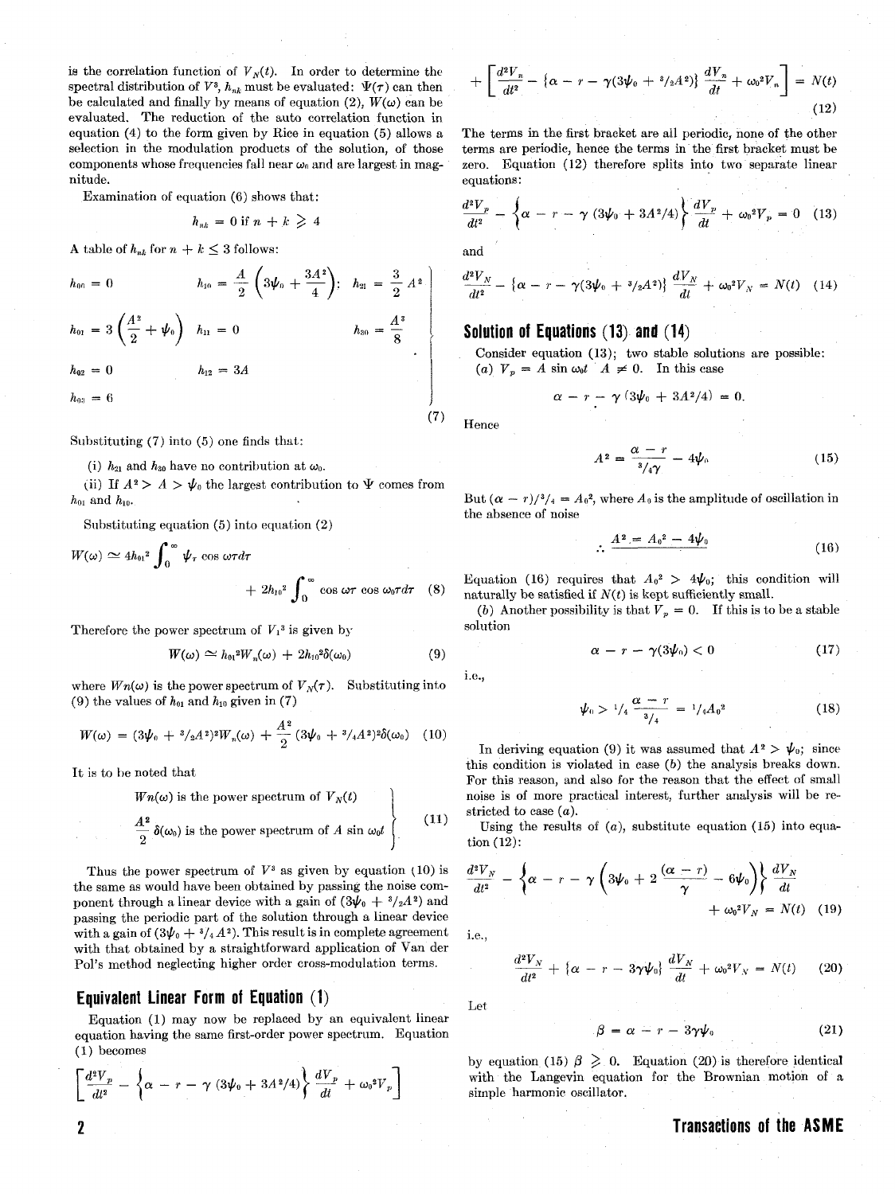is the correlation function of  $V_N(t)$ . In order to determine the spectral distribution of  $V^3$ ,  $h_{nk}$  must be evaluated:  $\Psi(\tau)$  can then be calculated and finally by means of equation (2),  $W(\omega)$  can be evaluated. The reduction of the auto correlation function in equation (4) to the form given by Rice in equation *(5)* allows a selection in the modulation products of the solution, of those components whose frequencies fall near  $\omega_0$  and are largest in magnitude.

Examination of equation (6) shows that:

$$
h_{nk} = 0 \text{ if } n + k \geq 4
$$

A table of  $h_{nk}$  for  $n + k \leq 3$  follows:

$$
h_{00} = 0 \t\t h_{10} = \frac{A}{2} \left( 3\psi_0 + \frac{3A^2}{4} \right); \quad h_{21} = \frac{3}{2} A^2
$$
\n
$$
h_{01} = 3 \left( \frac{A^2}{2} + \psi_0 \right) \quad h_{11} = 0 \t\t h_{30} = \frac{A^3}{8}
$$
\n
$$
h_{02} = 0 \t\t h_{12} = 3A
$$
\n
$$
h_{03} = 6
$$

Substituting (7) into (5) one finds that:

(i)  $h_{21}$  and  $h_{30}$  have no contribution at  $\omega_0$ .

(ii) If  $A^2 > A > \psi_0$  the largest contribution to  $\Psi$  comes from  $h_{01}$  and  $h_{10}$ .

Substituting equation (5) into equation (2)

$$
W(\omega) \simeq 4h_{01}^2 \int_0^\infty \psi_\tau \cos \omega \tau d\tau + 2h_{10}^2 \int_0^\infty \cos \omega \tau \cos \omega_0 \tau d\tau \quad (8)
$$

Therefore the power spectrum of 
$$
V_1^3
$$
 is given by  
\n
$$
W(\omega) \simeq h_{01}^2 W_n(\omega) + 2h_{10}^2 \delta(\omega_0)
$$
\n(9)

where  $W_n(\omega)$  is the power spectrum of  $V_N(\tau)$ . Substituting into  $(9)$  the values of  $h_{01}$  and  $h_{10}$  given in (7)

$$
W(\omega) = (3\psi_0 + \frac{s_{2A_2}}{2})^2 W_n(\omega) + \frac{A^2}{2} (3\psi_0 + \frac{s_{4A_2}}{2})^2 \delta(\omega_0)
$$
 (10)

It is to be noted that

$$
Wn(\omega) \text{ is the power spectrum of } V_N(t)
$$
\n
$$
\left.\frac{A^2}{2} \,\delta(\omega_0) \text{ is the power spectrum of } A \sin \omega_0 t\right\} \qquad (11)
$$

Thus the power spectrum of  $V^3$  as given by equation (10) is the same as would have been obtained by passing the noise component through a linear device with a gain of  $(3\psi_0 + \frac{3}{2}A^2)$  and passing the periodic part of the solution through a linear device with a gain of  $(3\psi_0 + \frac{3}{4}A^2)$ . This result is in complete agreement with that obtained by a straightforward application of Van der Pol's method neglecting higher order cross-modulation terms.

#### **Equivalent Linear Form of Equation (1)**

Equation *(1)* may now be replaced by an equivalent linear equation having the same first-order power spectrum. Equation *(1)* becomes

$$
\left[\frac{d^2V_p}{dt^2} - \left\{\alpha - r - \gamma \left(3\psi_0 + 3A^2/4\right)\right\} \frac{dV_p}{dt} + \omega_0^2 V_p\right]
$$

$$
+\left[\frac{d^2V_n}{dt^2} - \left\{\alpha - r - \gamma(3\psi_0 + \frac{s}{2}A^2)\right\}\frac{dV_n}{dt} + \omega_0^2V_n\right] = N(t) \tag{12}
$$

The terms in the first bracket are all periodic, none of the other terms are periodic, hence the terms in the first bracket must be zero. Equation *(12)* therefore splits into two separate linear equations:

$$
\frac{d^2V_p}{dt^2} - \left\{\alpha - r - \gamma (3\psi_0 + 3A^2/4) \right\} \frac{dV_p}{dt} + \omega_0^2 V_p = 0 \quad (13)
$$

and

$$
\frac{d^2V_N}{dt^2} - \{ \alpha - r - \gamma (3\psi_0 + \frac{3}{2}A^2) \} \frac{dV_N}{dt} + \omega_0^2 V_N = N(t) \quad (14)
$$

#### **Solution of Equations (13) and (14)**

Consider equation *(13);* two stable solutions are possible: (a)  $V_p = A \sin \omega_0 t$  *A*  $\neq 0$ . In this case

$$
\alpha - r - \gamma \left( 3\psi_0 + 3A^2/4 \right) = 0.
$$

Hence

**(7)** 

$$
A^2 = \frac{\alpha - r}{\alpha/4\gamma} - 4\psi_0 \tag{15}
$$

But  $(\alpha - r)/\frac{3}{4} = A_0^2$ , where  $A_0$  is the amplitude of oscillation in the absence of noise

$$
\therefore \frac{A^2 = A_0^2 - 4\psi_0}{\sqrt{16}}
$$

Equation (16) requires that  $A_0^2 > 4\psi_0$ ; this condition will naturally be satisfied if  $N(t)$  is kept sufficiently small.

(b) Another possibility is that  $V_p = 0$ . If this is to be a stable solution

$$
\alpha - r - \gamma(3\psi_0) < 0 \tag{17}
$$

i.e., 
$$
\overline{}
$$

$$
\alpha - r - \gamma(3\psi_0) < 0 \tag{11}
$$
\n
$$
\psi_0 > \frac{1}{4} \frac{\alpha - r}{3/4} = \frac{1}{4} A_0^2 \tag{18}
$$

In deriving equation (9) it was assumed that  $A^2 > \psi_0$ ; since this condition is violated in case *(b)* the analysis breaks down. For this reason, and also for the reason that the effect of small noise is of more practical interest, further analysis will be restricted to case *(a).* 

Using the results of  $(a)$ , substitute equation  $(15)$  into equation *(12):* 

$$
\frac{d^2V_N}{dt^2} - \left\{\alpha - r - \gamma \left(3\psi_0 + 2\frac{(\alpha - r)}{\gamma} - 6\psi_0\right)\right\} \frac{dV_N}{dt} + \omega_0^2 V_N = N(t) \quad (19)
$$

*i.e.* 

$$
\frac{d^2V_N}{dt^2} + \left\{\alpha - r - 3\gamma\psi_0\right\}\frac{dV_N}{dt} + \omega_0^2V_N = N(t) \qquad (20)
$$

Let

$$
\beta = \alpha - r - 3\gamma \psi_0 \tag{21}
$$

by equation (15)  $\beta \geq 0$ . Equation (20) is therefore identical with the Langevin equation for the Brownian motion of a sirnple harmonic oscillator.

# **Transactions of the ASME**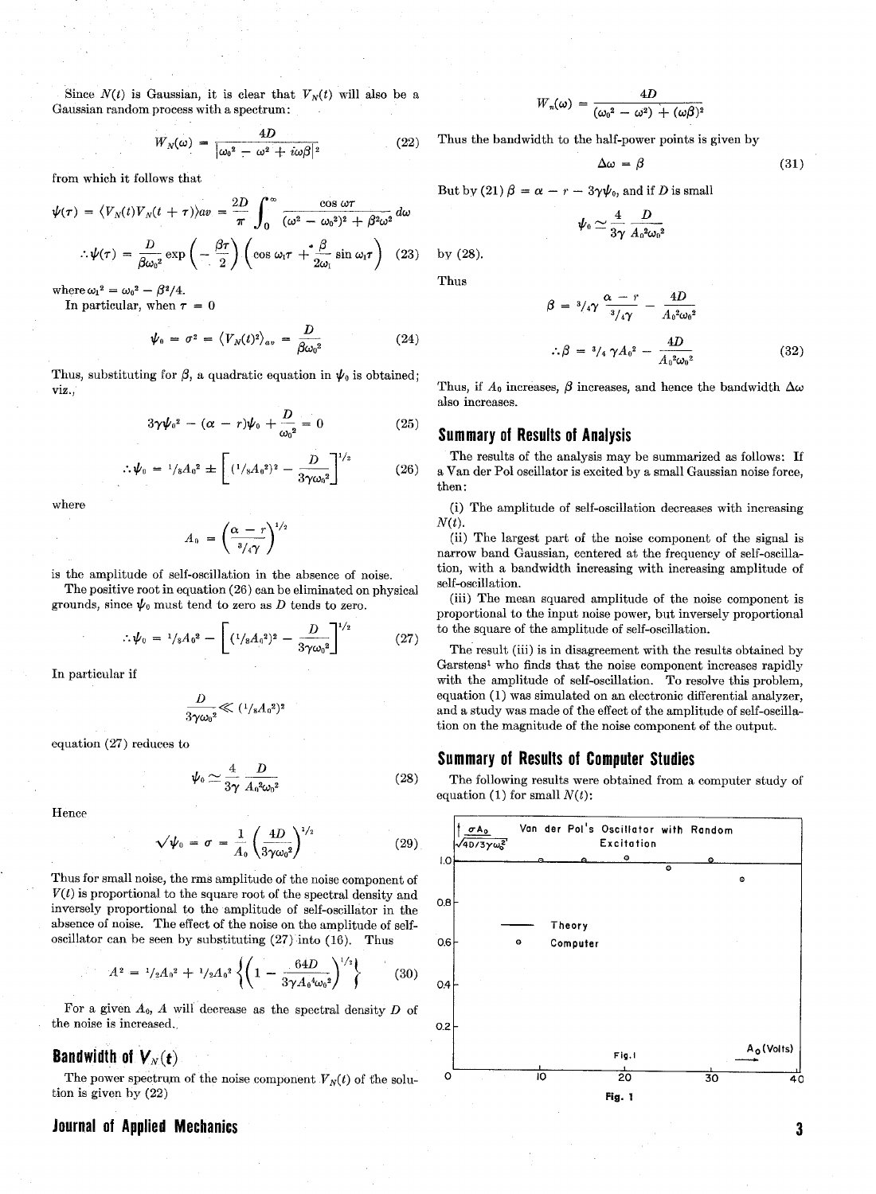Since  $N(t)$  is Gaussian, it is clear that  $V_N(t)$  will also be a Gaussian random process with a spectrum:

$$
V_N(\omega) = \frac{4D}{|\omega_0^2 - \omega^2 + i\omega\beta|^2}
$$
 (22)

from which it follows that

V

$$
\psi(\tau) = \langle V_N(t) V_N(t+\tau) \rangle a v = \frac{2D}{\pi} \int_0^{\infty} \frac{\cos \omega \tau}{(\omega^2 - \omega_0^2)^2 + \beta^2 \omega^2} d\omega
$$
\n
$$
\psi_0 \simeq \frac{4}{3\gamma} \frac{D}{A_0^2 \omega}
$$
\n
$$
\psi(\tau) = \frac{D}{\beta \omega_0^2} \exp\left(-\frac{\beta \tau}{2}\right) \left(\cos \omega_1 \tau + \frac{\beta}{2 \omega_1} \sin \omega_1 \tau\right) \quad (23)
$$
\nby (28).

where  $\omega_1^2 = \omega_0^2 - \beta^2/4$ .

In particular, when  $\tau = 0$ 

$$
\psi_0 = \sigma^2 = \langle V_N(t)^2 \rangle_{av} = \frac{D}{\beta \omega_0^2} \tag{24}
$$

Thus, substituting for  $\beta$ , a quadratic equation in  $\psi_0$  is obtained; viz., Thus, if  $A_0$  increases,  $\beta$  increases, and hence the bandwidth  $\Delta \omega$ 

$$
3\gamma\psi_0{}^2 - (\alpha - r)\psi_0 + \frac{D}{\omega_0{}^2} = 0 \qquad (25)
$$

$$
\Psi_0 = \frac{1}{s} A_0^2 \pm \left[ \left( \frac{1}{s} A_0^2 \right)^2 - \frac{D}{3 \gamma \omega_0^2} \right]^{1/2} \tag{26}
$$

$$
A_0 = \left(\frac{\alpha - r}{\frac{3}{4\gamma}}\right)^{1/2}
$$

is the amplitude of self-oscillation in the absence of noise.

The positive root in equation (26) can be eliminated on physical grounds, since  $\psi_0$  must tend to zero as D tends to zero.

$$
\therefore \psi_0 = \frac{1}{8} A_0^2 - \left[ \left( \frac{1}{8} A_0^2 \right)^2 - \frac{D}{3 \gamma \omega_0^2} \right]^{1/2} \tag{27}
$$

In particular if

$$
\frac{D}{3\gamma {\omega_0}^2} \ll (1/\mathrm{s} A_0{}^2)^2
$$

equation (27) reduces to

$$
\psi_0 \simeq \frac{4}{3\gamma} \frac{D}{A_0^2 \omega_0^2} \tag{28}
$$

Hence

$$
\sqrt{\psi_0} = \sigma = \frac{1}{A_0} \left(\frac{4D}{3\gamma\omega_0^2}\right)^{1/2} \tag{29}
$$

Thus for small noise, the rms amplitude of the noise component of  $V(t)$  is proportional to the square root of the spectral density and inversely proportional to the amplitude of self-oscillator in the absence of noise. The effect of the noise on the amplitude of selfoscillator can be seen by substituting (27) into (16). Thus

$$
A^{2} = \frac{1}{2}A_{0}^{2} + \frac{1}{2}A_{0}^{2} \left\{ \left( 1 - \frac{64D}{3\gamma A_{0}^{4}\omega_{0}^{2}} \right)^{1/2} \right\} \tag{30}
$$

For a given  $A_0$ , A will decrease as the spectral density D of the noise is increased.

## **Bandwidth of**  $V_N(t)$

The power spectrum of the noise component  $V_N(t)$  of the solution is given by (22)

#### **Journal of Applied Mechanics**

$$
W_n(\omega) = \frac{4D}{(\omega_0^2 - \omega^2) + (\omega\beta)^2}
$$

Thus the bandwidth to the half-power points is given by

$$
\Delta \omega = \beta \tag{31}
$$

But by (21)  $\beta = \alpha - r - 3\gamma\psi_0$ , and if D is small

$$
\boldsymbol{\psi}_{\text{\tiny{0}}}\simeq\frac{4}{3\gamma}\,\frac{D}{A_{\text{\tiny{0}}}{}^2\!\omega_{\text{\tiny{0}}}{}^2}
$$

Thus

$$
\beta = \sqrt[3]{4\gamma} \frac{\alpha - r}{\sqrt[3]{4\gamma}} - \frac{4D}{A_0^2 \omega_0^2}
$$
  

$$
\therefore \beta = \sqrt[3]{4\gamma} A_0^2 - \frac{4D}{A_0^2 \omega_0^2}
$$
 (32)

also increases.

#### **Summary of Results of Analysis**

The results of the analysis may be summarized as follows: If a Van der Pol oscillator is excited by a small Gaussian noise force, then :

where (i) The amplitude of self-oscillation decreases with increasing  $N(t)$ .

> (ii) The largest part of the noise component of the signal is narrow band Gaussian, centered at the frequency of self-oscillation, with a bandwidth increasing with increasing amplitude of self-oscillation.

> (iii) The mean squared amplitude of the noise component is proportional to the input noise power, but inversely proportional to the square of the amplitude of self-oscillation.

> The result (iii) is in disagreement with the results obtained by Garstens<sup>1</sup> who finds that the noise component increases rapidly with the amplitude of self-oscillation. To resolve this problem, equation (1) was simulated on an electronic differential analyzer, and a study was made of the effect of the amplitude of self-oscillation on the magnitude of the noise component of the output.

#### **Summary of Results of Computer Studies**

The following results were obtained from a computer study of equation (1) for small  $N(t)$ :



 $\mathbf{3}$